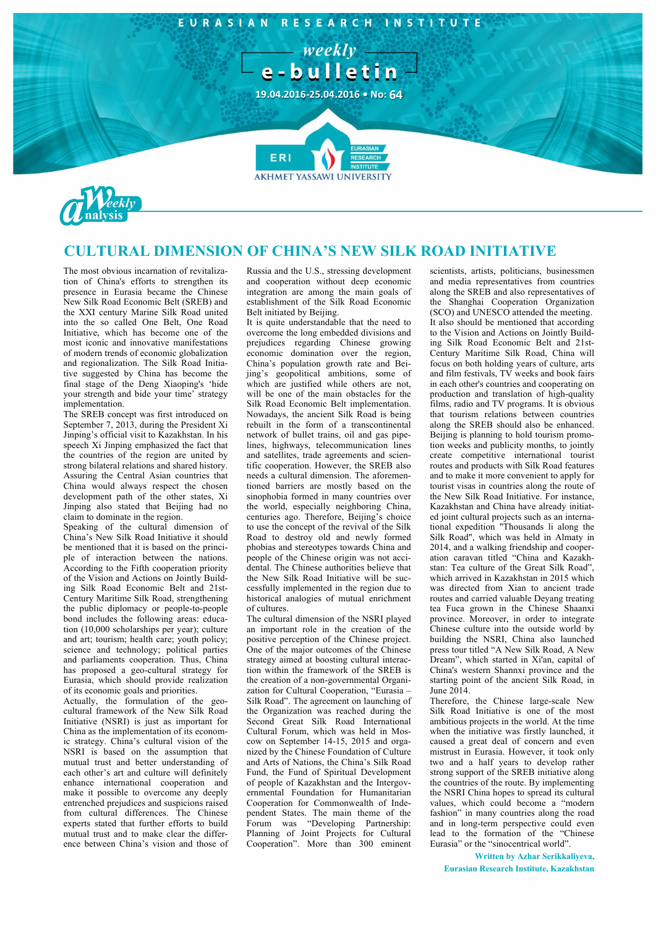

## **CULTURAL DIMENSION OF CHINA'S NEW SILK ROAD INITIATIVE**

The most obvious incarnation of revitalization of China's efforts to strengthen its presence in Eurasia became the Chinese New Silk Road Economic Belt (SREB) and the XXI century Marine Silk Road united into the so called One Belt, One Road Initiative, which has become one of the most iconic and innovative manifestations of modern trends of economic globalization and regionalization. The Silk Road Initiative suggested by China has become the final stage of the Deng Xiaoping's 'hide your strength and bide your time' strategy implementation.

The SREB concept was first introduced on September 7, 2013, during the President Xi Jinping's official visit to Kazakhstan. In his speech Xi Jinping emphasized the fact that the countries of the region are united by strong bilateral relations and shared history. Assuring the Central Asian countries that China would always respect the chosen development path of the other states, Xi Jinping also stated that Beijing had no claim to dominate in the region.

Speaking of the cultural dimension of China's New Silk Road Initiative it should be mentioned that it is based on the principle of interaction between the nations. According to the Fifth cooperation priority of the Vision and Actions on Jointly Building Silk Road Economic Belt and 21st-Century Maritime Silk Road, strengthening the public diplomacy or people-to-people bond includes the following areas: education (10,000 scholarships per year); culture and art; tourism; health care; youth policy; science and technology; political parties and parliaments cooperation. Thus, China has proposed a geo-cultural strategy for Eurasia, which should provide realization of its economic goals and priorities.

Actually, the formulation of the geocultural framework of the New Silk Road Initiative (NSRI) is just as important for China as the implementation of its economic strategy. China's cultural vision of the NSRI is based on the assumption that mutual trust and better understanding of each other's art and culture will definitely enhance international cooperation and make it possible to overcome any deeply entrenched prejudices and suspicions raised from cultural differences. The Chinese experts stated that further efforts to build mutual trust and to make clear the difference between China's vision and those of Russia and the U.S., stressing development and cooperation without deep economic integration are among the main goals of establishment of the Silk Road Economic Belt initiated by Beijing.

It is quite understandable that the need to overcome the long embedded divisions and prejudices regarding Chinese growing economic domination over the region, China's population growth rate and Beijing's geopolitical ambitions, some of which are justified while others are not, will be one of the main obstacles for the Silk Road Economic Belt implementation. Nowadays, the ancient Silk Road is being rebuilt in the form of a transcontinental network of bullet trains, oil and gas pipelines, highways, telecommunication lines and satellites, trade agreements and scientific cooperation. However, the SREB also needs a cultural dimension. The aforementioned barriers are mostly based on the sinophobia formed in many countries over the world, especially neighboring China, centuries ago. Therefore, Beijing's choice to use the concept of the revival of the Silk Road to destroy old and newly formed phobias and stereotypes towards China and people of the Chinese origin was not accidental. The Chinese authorities believe that the New Silk Road Initiative will be successfully implemented in the region due to historical analogies of mutual enrichment of cultures.

The cultural dimension of the NSRI played an important role in the creation of the positive perception of the Chinese project. One of the major outcomes of the Chinese strategy aimed at boosting cultural interaction within the framework of the SREB is the creation of a non-governmental Organization for Cultural Cooperation, "Eurasia – Silk Road". The agreement on launching of the Organization was reached during the Second Great Silk Road International Cultural Forum, which was held in Moscow on September 14-15, 2015 and organized by the Chinese Foundation of Culture and Arts of Nations, the China's Silk Road Fund, the Fund of Spiritual Development of people of Kazakhstan and the Intergovernmental Foundation for Humanitarian Cooperation for Commonwealth of Independent States. The main theme of the Forum was "Developing Partnership: Planning of Joint Projects for Cultural Cooperation". More than 300 eminent

scientists, artists, politicians, businessmen and media representatives from countries along the SREB and also representatives of the Shanghai Cooperation Organization (SCO) and UNESCO attended the meeting. It also should be mentioned that according to the Vision and Actions on Jointly Building Silk Road Economic Belt and 21st-Century Maritime Silk Road, China will focus on both holding years of culture, arts and film festivals, TV weeks and book fairs in each other's countries and cooperating on production and translation of high-quality films, radio and TV programs. It is obvious that tourism relations between countries along the SREB should also be enhanced. Beijing is planning to hold tourism promotion weeks and publicity months, to jointly create competitive international tourist routes and products with Silk Road features and to make it more convenient to apply for tourist visas in countries along the route of the New Silk Road Initiative. For instance, Kazakhstan and China have already initiated joint cultural projects such as an international expedition "Thousands li along the Silk Road", which was held in Almaty in 2014, and a walking friendship and cooperation caravan titled "China and Kazakhstan: Tea culture of the Great Silk Road", which arrived in Kazakhstan in 2015 which was directed from Xian to ancient trade routes and carried valuable Deyang treating tea Fuca grown in the Chinese Shaanxi province. Moreover, in order to integrate Chinese culture into the outside world by building the NSRI, China also launched press tour titled "A New Silk Road, A New Dream", which started in Xi'an, capital of China's western Shannxi province and the starting point of the ancient Silk Road, in  $\overline{\text{June 2014}}$ 

Therefore, the Chinese large-scale New Silk Road Initiative is one of the most ambitious projects in the world. At the time when the initiative was firstly launched, it caused a great deal of concern and even mistrust in Eurasia. However, it took only two and a half years to develop rather strong support of the SREB initiative along the countries of the route. By implementing the NSRI China hopes to spread its cultural values, which could become a "modern fashion" in many countries along the road and in long-term perspective could even lead to the formation of the "Chinese Eurasia" or the "sinocentrical world".

**Written by Azhar Serikkaliyeva, Eurasian Research Institute, Kazakhstan**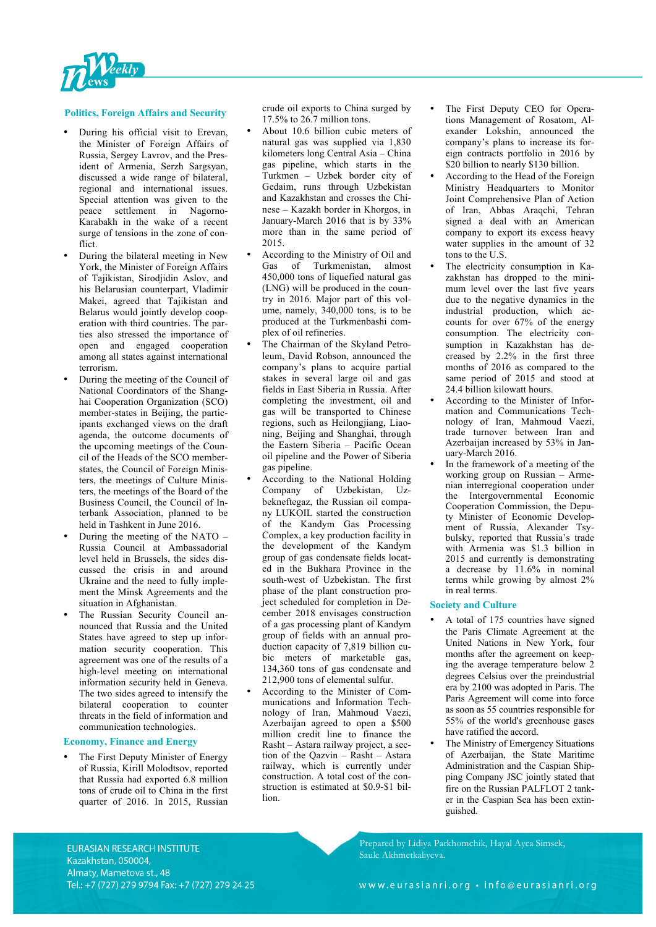

## **Politics, Foreign Affairs and Security**

- During his official visit to Erevan, the Minister of Foreign Affairs of Russia, Sergey Lavrov, and the President of Armenia, Serzh Sargsyan, discussed a wide range of bilateral, regional and international issues. Special attention was given to the peace settlement in Nagorno-Karabakh in the wake of a recent surge of tensions in the zone of conflict.
- During the bilateral meeting in New York, the Minister of Foreign Affairs of Tajikistan, Sirodjidin Aslov, and his Belarusian counterpart, Vladimir Makei, agreed that Tajikistan and Belarus would jointly develop cooperation with third countries. The parties also stressed the importance of open and engaged cooperation among all states against international terrorism.
- During the meeting of the Council of National Coordinators of the Shanghai Cooperation Organization (SCO) member-states in Beijing, the participants exchanged views on the draft agenda, the outcome documents of the upcoming meetings of the Council of the Heads of the SCO memberstates, the Council of Foreign Ministers, the meetings of Culture Ministers, the meetings of the Board of the Business Council, the Council of Interbank Association, planned to be held in Tashkent in June 2016.
- During the meeting of the NATO Russia Council at Ambassadorial level held in Brussels, the sides discussed the crisis in and around Ukraine and the need to fully implement the Minsk Agreements and the situation in Afghanistan.
- The Russian Security Council announced that Russia and the United States have agreed to step up information security cooperation. This agreement was one of the results of a high-level meeting on international information security held in Geneva. The two sides agreed to intensify the bilateral cooperation to counter threats in the field of information and communication technologies.

## **Economy, Finance and Energy**

The First Deputy Minister of Energy of Russia, Kirill Molodtsov, reported that Russia had exported 6.8 million tons of crude oil to China in the first quarter of 2016. In 2015, Russian crude oil exports to China surged by 17.5% to 26.7 million tons.

- About 10.6 billion cubic meters of natural gas was supplied via 1,830 kilometers long Central Asia – China gas pipeline, which starts in the Turkmen – Uzbek border city of Gedaim, runs through Uzbekistan and Kazakhstan and crosses the Chinese – Kazakh border in Khorgos, in January-March 2016 that is by 33% more than in the same period of 2015.
- According to the Ministry of Oil and<br>Gas of Turkmenistan, almost Gas of Turkmenistan, 450,000 tons of liquefied natural gas (LNG) will be produced in the country in 2016. Major part of this volume, namely, 340,000 tons, is to be produced at the Turkmenbashi complex of oil refineries.
- The Chairman of the Skyland Petroleum, David Robson, announced the company's plans to acquire partial stakes in several large oil and gas fields in East Siberia in Russia. After completing the investment, oil and gas will be transported to Chinese regions, such as Heilongjiang, Liaoning, Beijing and Shanghai, through the Eastern Siberia – Pacific Ocean oil pipeline and the Power of Siberia gas pipeline.
- According to the National Holding Company of Uzbekistan, Uzbekneftegaz, the Russian oil company LUKOIL started the construction of the Kandym Gas Processing Complex, a key production facility in the development of the Kandym group of gas condensate fields located in the Bukhara Province in the south-west of Uzbekistan. The first phase of the plant construction project scheduled for completion in December 2018 envisages construction of a gas processing plant of Kandym group of fields with an annual production capacity of 7,819 billion cubic meters of marketable gas, 134,360 tons of gas condensate and 212,900 tons of elemental sulfur.
- According to the Minister of Communications and Information Technology of Iran, Mahmoud Vaezi, Azerbaijan agreed to open a \$500 million credit line to finance the Rasht – Astara railway project, a section of the Qazvin – Rasht – Astara railway, which is currently under construction. A total cost of the construction is estimated at \$0.9-\$1 billion.
- The First Deputy CEO for Operations Management of Rosatom, Alexander Lokshin, announced the company's plans to increase its foreign contracts portfolio in 2016 by \$20 billion to nearly \$130 billion.
- According to the Head of the Foreign Ministry Headquarters to Monitor Joint Comprehensive Plan of Action of Iran, Abbas Araqchi, Tehran signed a deal with an American company to export its excess heavy water supplies in the amount of 32 tons to the U.S.
- The electricity consumption in Kazakhstan has dropped to the minimum level over the last five years due to the negative dynamics in the industrial production, which accounts for over 67% of the energy consumption. The electricity consumption in Kazakhstan has decreased by 2.2% in the first three months of 2016 as compared to the same period of 2015 and stood at 24.4 billion kilowatt hours.
- According to the Minister of Information and Communications Technology of Iran, Mahmoud Vaezi, trade turnover between Iran and Azerbaijan increased by 53% in January-March 2016.
- In the framework of a meeting of the working group on Russian – Armenian interregional cooperation under the Intergovernmental Economic Cooperation Commission, the Deputy Minister of Economic Development of Russia, Alexander Tsybulsky, reported that Russia's trade with Armenia was \$1.3 billion in 2015 and currently is demonstrating a decrease by 11.6% in nominal terms while growing by almost 2% in real terms.

## **Society and Culture**

- A total of 175 countries have signed the Paris Climate Agreement at the United Nations in New York, four months after the agreement on keeping the average temperature below 2 degrees Celsius over the preindustrial era by 2100 was adopted in Paris. The Paris Agreement will come into force as soon as 55 countries responsible for 55% of the world's greenhouse gases have ratified the accord.
- The Ministry of Emergency Situations of Azerbaijan, the State Maritime Administration and the Caspian Shipping Company JSC jointly stated that fire on the Russian PALFLOT 2 tanker in the Caspian Sea has been extinguished.

Prepared by Lidiya Parkhomchik, Hayal Ayca Simsek, Saule Akhmetkaliyeva.

EURASIAN RESEARCH INSTITUTE Kazakhstan, 050004, Almaty, Mametova st., 48 Tel.: +7 (727) 279 9794 Fax: +7 (727) 279 24 25